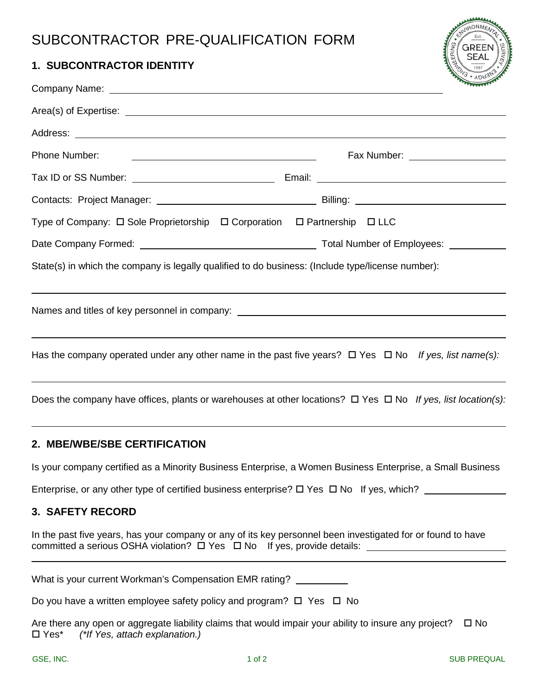# SUBCONTRACTOR PRE-QUALIFICATION FORM

## **1. SUBCONTRACTOR IDENTITY**

| <b>NM</b>            |
|----------------------|
| Est.<br><b>GREEN</b> |
| Ŧ<br><b>SEAI</b>     |
|                      |

| Phone Number:<br>Fax Number: ____________________                                                                      |  |
|------------------------------------------------------------------------------------------------------------------------|--|
|                                                                                                                        |  |
|                                                                                                                        |  |
| Type of Company: $\Box$ Sole Proprietorship $\Box$ Corporation $\Box$ Partnership $\Box$ LLC                           |  |
|                                                                                                                        |  |
| State(s) in which the company is legally qualified to do business: (Include type/license number):                      |  |
|                                                                                                                        |  |
| Has the company operated under any other name in the past five years? $\Box$ Yes $\Box$ No If yes, list name(s):       |  |
| Does the company have offices, plants or warehouses at other locations? $\Box$ Yes $\Box$ No If yes, list location(s): |  |

# **2. MBE/WBE/SBE CERTIFICATION**

Is your company certified as a Minority Business Enterprise, a Women Business Enterprise, a Small Business

Enterprise, or any other type of certified business enterprise?  $\Box$  Yes  $\Box$  No If yes, which?

# **3. SAFETY RECORD**

 $\overline{a}$ 

In the past five years, has your company or any of its key personnel been investigated for or found to have committed a serious OSHA violation?  $\Box$  Yes  $\Box$  No If yes, provide details:  $\Box$ 

What is your current Workman's Compensation EMR rating?

Do you have a written employee safety policy and program?  $\Box$  Yes  $\Box$  No

Are there any open or aggregate liability claims that would impair your ability to insure any project?  $\Box$  No Yes\* *(\*If Yes, attach explanation.)*